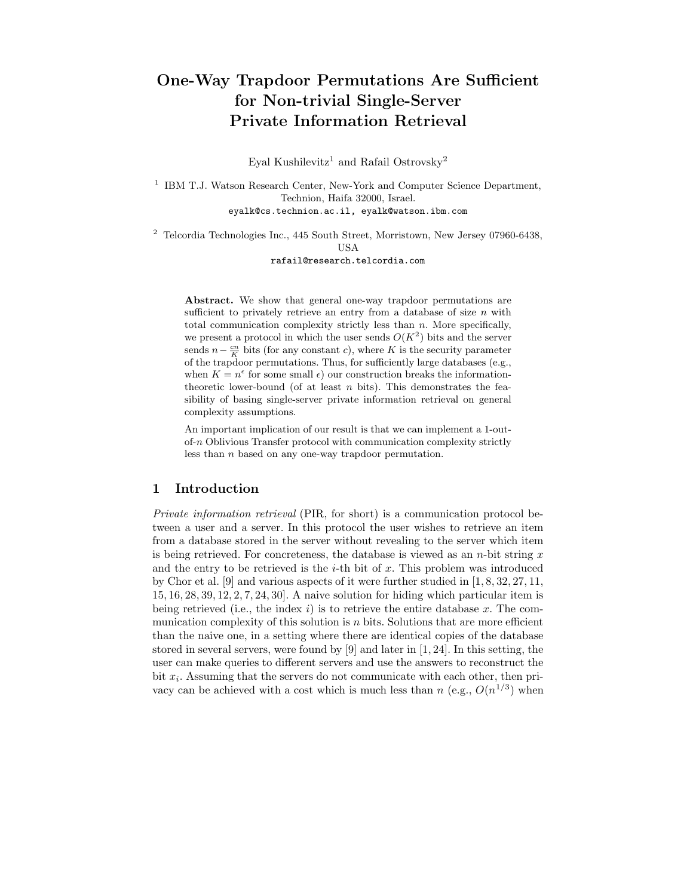# One-Way Trapdoor Permutations Are Sufficient for Non-trivial Single-Server Private Information Retrieval

Eyal Kushilevitz<sup>1</sup> and Rafail Ostrovsky<sup>2</sup>

<sup>1</sup> IBM T.J. Watson Research Center, New-York and Computer Science Department, Technion, Haifa 32000, Israel. eyalk@cs.technion.ac.il, eyalk@watson.ibm.com

<sup>2</sup> Telcordia Technologies Inc., 445 South Street, Morristown, New Jersey 07960-6438, **USA** 

rafail@research.telcordia.com

Abstract. We show that general one-way trapdoor permutations are sufficient to privately retrieve an entry from a database of size  $n$  with total communication complexity strictly less than  $n$ . More specifically, we present a protocol in which the user sends  $O(K^2)$  bits and the server sends  $n - \frac{cn}{K}$  bits (for any constant c), where K is the security parameter of the trapdoor permutations. Thus, for sufficiently large databases (e.g., when  $K = n^{\epsilon}$  for some small  $\epsilon$ ) our construction breaks the informationtheoretic lower-bound (of at least  $n$  bits). This demonstrates the feasibility of basing single-server private information retrieval on general complexity assumptions.

An important implication of our result is that we can implement a 1-outof-n Oblivious Transfer protocol with communication complexity strictly less than n based on any one-way trapdoor permutation.

# 1 Introduction

Private information retrieval (PIR, for short) is a communication protocol between a user and a server. In this protocol the user wishes to retrieve an item from a database stored in the server without revealing to the server which item is being retrieved. For concreteness, the database is viewed as an  $n$ -bit string  $x$ and the entry to be retrieved is the  $i$ -th bit of x. This problem was introduced by Chor et al. [9] and various aspects of it were further studied in [1, 8, 32, 27, 11, 15, 16, 28, 39, 12, 2, 7, 24, 30]. A naive solution for hiding which particular item is being retrieved (i.e., the index i) is to retrieve the entire database x. The communication complexity of this solution is  $n$  bits. Solutions that are more efficient than the naive one, in a setting where there are identical copies of the database stored in several servers, were found by [9] and later in [1, 24]. In this setting, the user can make queries to different servers and use the answers to reconstruct the bit  $x_i$ . Assuming that the servers do not communicate with each other, then privacy can be achieved with a cost which is much less than n (e.g.,  $O(n^{1/3})$ ) when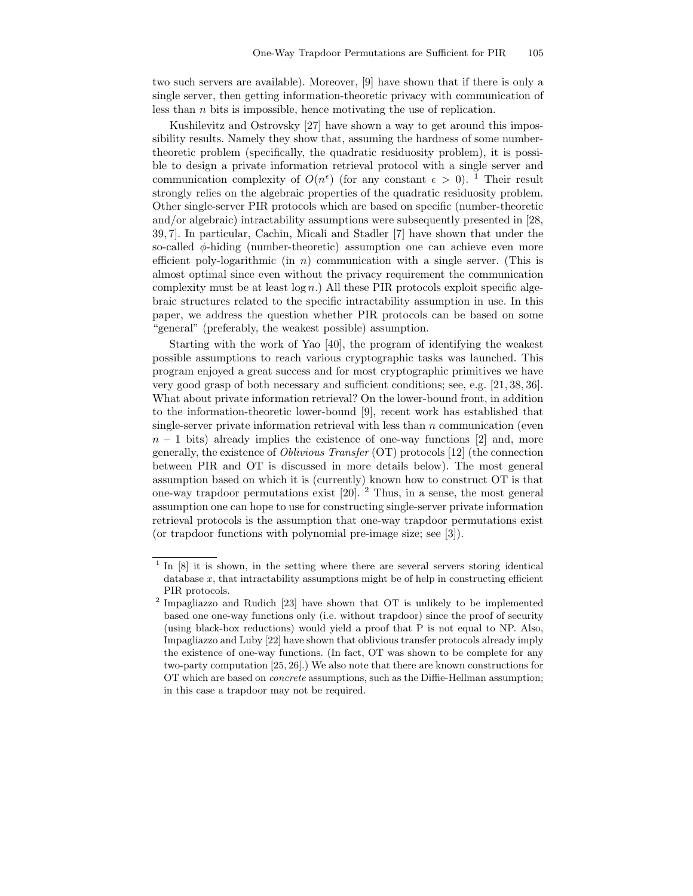two such servers are available). Moreover, [9] have shown that if there is only a single server, then getting information-theoretic privacy with communication of less than n bits is impossible, hence motivating the use of replication.

Kushilevitz and Ostrovsky [27] have shown a way to get around this impossibility results. Namely they show that, assuming the hardness of some numbertheoretic problem (specifically, the quadratic residuosity problem), it is possible to design a private information retrieval protocol with a single server and communication complexity of  $O(n^{\epsilon})$  (for any constant  $\epsilon > 0$ ). <sup>1</sup> Their result strongly relies on the algebraic properties of the quadratic residuosity problem. Other single-server PIR protocols which are based on specific (number-theoretic and/or algebraic) intractability assumptions were subsequently presented in [28, 39, 7]. In particular, Cachin, Micali and Stadler [7] have shown that under the so-called φ-hiding (number-theoretic) assumption one can achieve even more efficient poly-logarithmic (in  $n$ ) communication with a single server. (This is almost optimal since even without the privacy requirement the communication complexity must be at least  $log n$ .) All these PIR protocols exploit specific algebraic structures related to the specific intractability assumption in use. In this paper, we address the question whether PIR protocols can be based on some "general" (preferably, the weakest possible) assumption.

Starting with the work of Yao [40], the program of identifying the weakest possible assumptions to reach various cryptographic tasks was launched. This program enjoyed a great success and for most cryptographic primitives we have very good grasp of both necessary and sufficient conditions; see, e.g. [21, 38, 36]. What about private information retrieval? On the lower-bound front, in addition to the information-theoretic lower-bound [9], recent work has established that single-server private information retrieval with less than  $n$  communication (even  $n-1$  bits) already implies the existence of one-way functions [2] and, more generally, the existence of Oblivious Transfer (OT) protocols [12] (the connection between PIR and OT is discussed in more details below). The most general assumption based on which it is (currently) known how to construct OT is that one-way trapdoor permutations exist [20]. <sup>2</sup> Thus, in a sense, the most general assumption one can hope to use for constructing single-server private information retrieval protocols is the assumption that one-way trapdoor permutations exist (or trapdoor functions with polynomial pre-image size; see [3]).

<sup>&</sup>lt;sup>1</sup> In [8] it is shown, in the setting where there are several servers storing identical database  $x$ , that intractability assumptions might be of help in constructing efficient PIR protocols.

<sup>&</sup>lt;sup>2</sup> Impagliazzo and Rudich [23] have shown that OT is unlikely to be implemented based one one-way functions only (i.e. without trapdoor) since the proof of security (using black-box reductions) would yield a proof that P is not equal to NP. Also, Impagliazzo and Luby [22] have shown that oblivious transfer protocols already imply the existence of one-way functions. (In fact, OT was shown to be complete for any two-party computation [25, 26].) We also note that there are known constructions for OT which are based on concrete assumptions, such as the Diffie-Hellman assumption; in this case a trapdoor may not be required.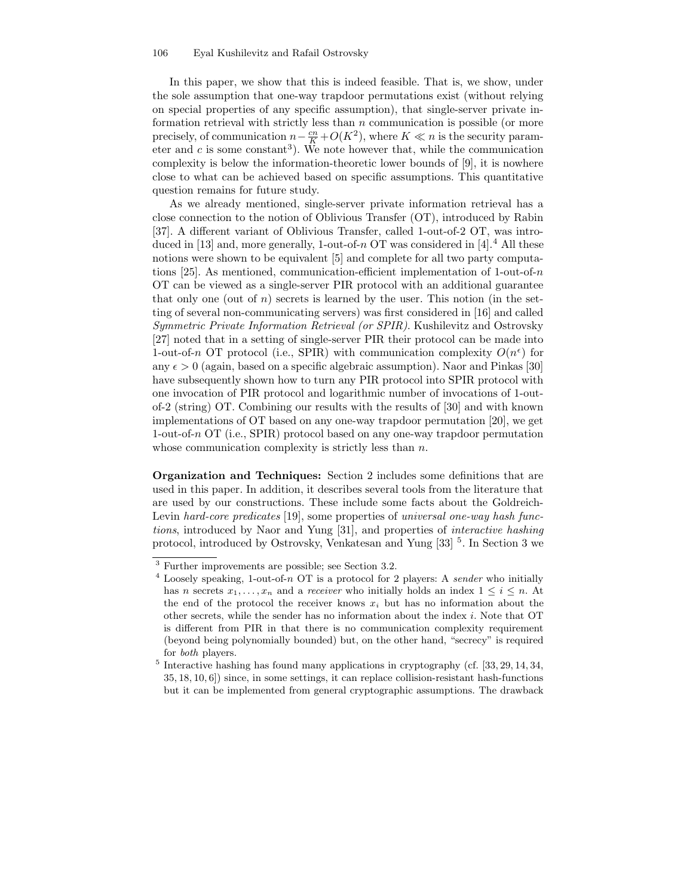#### 106 Eyal Kushilevitz and Rafail Ostrovsky

In this paper, we show that this is indeed feasible. That is, we show, under the sole assumption that one-way trapdoor permutations exist (without relying on special properties of any specific assumption), that single-server private information retrieval with strictly less than  $n$  communication is possible (or more precisely, of communication  $n - \frac{cn}{K} + O(K^2)$ , where  $K \ll n$  is the security parameter and  $c$  is some constant<sup>3</sup>). We note however that, while the communication complexity is below the information-theoretic lower bounds of [9], it is nowhere close to what can be achieved based on specific assumptions. This quantitative question remains for future study.

As we already mentioned, single-server private information retrieval has a close connection to the notion of Oblivious Transfer (OT), introduced by Rabin [37]. A different variant of Oblivious Transfer, called 1-out-of-2 OT, was introduced in [13] and, more generally, 1-out-of- $n$  OT was considered in [4].<sup>4</sup> All these notions were shown to be equivalent [5] and complete for all two party computations [25]. As mentioned, communication-efficient implementation of 1-out-of- $n$ OT can be viewed as a single-server PIR protocol with an additional guarantee that only one (out of  $n$ ) secrets is learned by the user. This notion (in the setting of several non-communicating servers) was first considered in [16] and called Symmetric Private Information Retrieval (or SPIR). Kushilevitz and Ostrovsky [27] noted that in a setting of single-server PIR their protocol can be made into 1-out-of-n OT protocol (i.e., SPIR) with communication complexity  $O(n^{\epsilon})$  for any  $\epsilon > 0$  (again, based on a specific algebraic assumption). Naor and Pinkas [30] have subsequently shown how to turn any PIR protocol into SPIR protocol with one invocation of PIR protocol and logarithmic number of invocations of 1-outof-2 (string) OT. Combining our results with the results of [30] and with known implementations of OT based on any one-way trapdoor permutation [20], we get 1-out-of-n OT (i.e., SPIR) protocol based on any one-way trapdoor permutation whose communication complexity is strictly less than  $n$ .

Organization and Techniques: Section 2 includes some definitions that are used in this paper. In addition, it describes several tools from the literature that are used by our constructions. These include some facts about the Goldreich-Levin hard-core predicates [19], some properties of universal one-way hash functions, introduced by Naor and Yung [31], and properties of interactive hashing protocol, introduced by Ostrovsky, Venkatesan and Yung [33] <sup>5</sup>. In Section 3 we

<sup>3</sup> Further improvements are possible; see Section 3.2.

 $4$  Loosely speaking, 1-out-of-n OT is a protocol for 2 players: A sender who initially has n secrets  $x_1, \ldots, x_n$  and a receiver who initially holds an index  $1 \leq i \leq n$ . At the end of the protocol the receiver knows  $x_i$  but has no information about the other secrets, while the sender has no information about the index i. Note that OT is different from PIR in that there is no communication complexity requirement (beyond being polynomially bounded) but, on the other hand, "secrecy" is required for both players.

<sup>&</sup>lt;sup>5</sup> Interactive hashing has found many applications in cryptography (cf. [33, 29, 14, 34, 35, 18, 10, 6]) since, in some settings, it can replace collision-resistant hash-functions but it can be implemented from general cryptographic assumptions. The drawback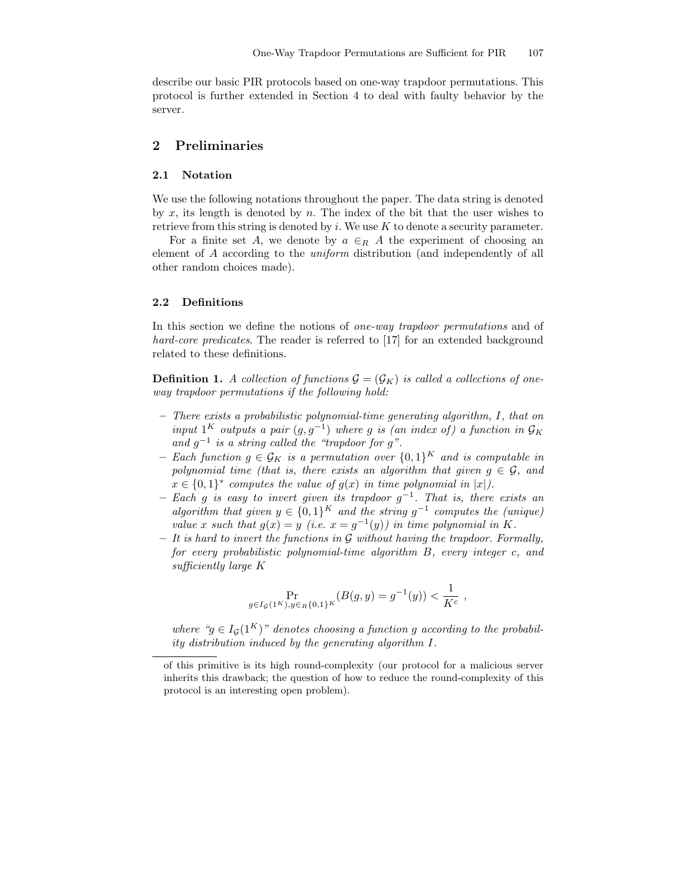describe our basic PIR protocols based on one-way trapdoor permutations. This protocol is further extended in Section 4 to deal with faulty behavior by the server.

# 2 Preliminaries

### 2.1 Notation

We use the following notations throughout the paper. The data string is denoted by x, its length is denoted by n. The index of the bit that the user wishes to retrieve from this string is denoted by  $i$ . We use K to denote a security parameter.

For a finite set A, we denote by  $a \in_R A$  the experiment of choosing an element of A according to the uniform distribution (and independently of all other random choices made).

### 2.2 Definitions

In this section we define the notions of *one-way trapdoor permutations* and of hard-core predicates. The reader is referred to [17] for an extended background related to these definitions.

**Definition 1.** A collection of functions  $\mathcal{G} = (\mathcal{G}_K)$  is called a collections of oneway trapdoor permutations if the following hold:

- There exists a probabilistic polynomial-time generating algorithm, I, that on input 1<sup>K</sup> outputs a pair  $(g, g^{-1})$  where g is (an index of) a function in  $\mathcal{G}_K$ and  $g^{-1}$  is a string called the "trapdoor for g".
- Each function  $g \in \mathcal{G}_K$  is a permutation over  $\{0,1\}^K$  and is computable in polynomial time (that is, there exists an algorithm that given  $g \in \mathcal{G}$ , and  $x \in \{0,1\}^*$  computes the value of  $g(x)$  in time polynomial in  $|x|$ .
- $-$  Each g is easy to invert given its trapdoor  $g^{-1}$ . That is, there exists an algorithm that given  $y \in \{0,1\}^K$  and the string  $g^{-1}$  computes the (unique) value x such that  $g(x) = y$  (i.e.  $x = g^{-1}(y)$ ) in time polynomial in K.
- $-$  It is hard to invert the functions in G without having the trapdoor. Formally, for every probabilistic polynomial-time algorithm B, every integer c, and sufficiently large K

$$
\Pr_{g \in I_{\mathcal{G}}(1^K), y \in_R \{0,1\}^K} (B(g, y) = g^{-1}(y)) < \frac{1}{K^c} \;,
$$

where " $g \in I_G(1^K)$ " denotes choosing a function g according to the probability distribution induced by the generating algorithm I.

of this primitive is its high round-complexity (our protocol for a malicious server inherits this drawback; the question of how to reduce the round-complexity of this protocol is an interesting open problem).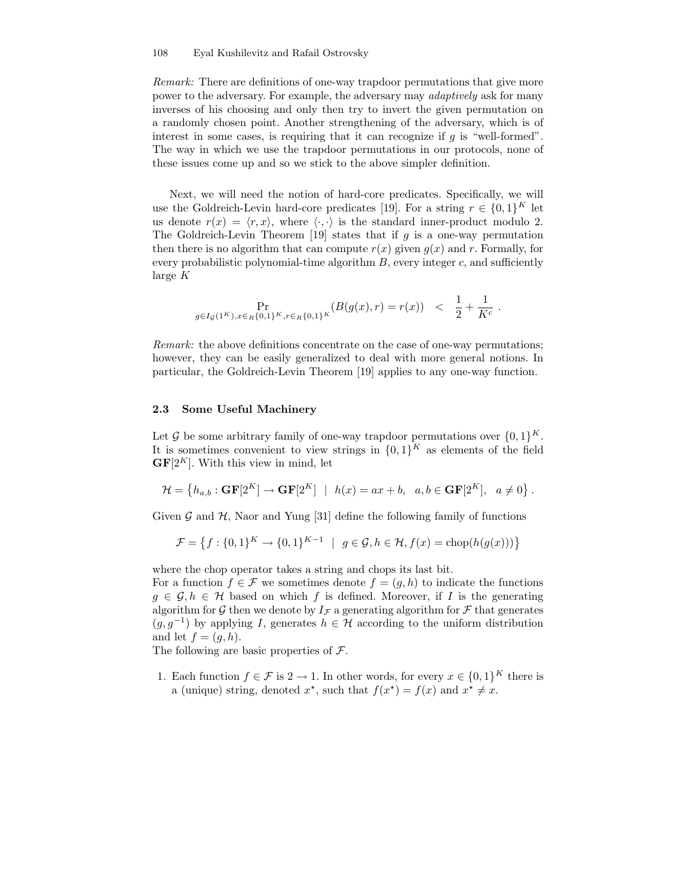Remark: There are definitions of one-way trapdoor permutations that give more power to the adversary. For example, the adversary may adaptively ask for many inverses of his choosing and only then try to invert the given permutation on a randomly chosen point. Another strengthening of the adversary, which is of interest in some cases, is requiring that it can recognize if  $g$  is "well-formed". The way in which we use the trapdoor permutations in our protocols, none of these issues come up and so we stick to the above simpler definition.

Next, we will need the notion of hard-core predicates. Specifically, we will use the Goldreich-Levin hard-core predicates [19]. For a string  $r \in \{0,1\}^K$  let us denote  $r(x) = \langle r, x \rangle$ , where  $\langle \cdot, \cdot \rangle$  is the standard inner-product modulo 2. The Goldreich-Levin Theorem  $[19]$  states that if g is a one-way permutation then there is no algorithm that can compute  $r(x)$  given  $g(x)$  and r. Formally, for every probabilistic polynomial-time algorithm  $B$ , every integer  $c$ , and sufficiently large K

$$
\Pr_{g \in I_{\mathcal{G}}(1^K), x \in_R \{0,1\}^K, r \in_R \{0,1\}^K} (B(g(x), r) = r(x)) \quad < \quad \frac{1}{2} + \frac{1}{K^c} \; .
$$

Remark: the above definitions concentrate on the case of one-way permutations; however, they can be easily generalized to deal with more general notions. In particular, the Goldreich-Levin Theorem [19] applies to any one-way function.

### 2.3 Some Useful Machinery

Let G be some arbitrary family of one-way trapdoor permutations over  $\{0,1\}^K$ . It is sometimes convenient to view strings in  $\{0,1\}^K$  as elements of the field  $GF[2<sup>K</sup>]$ . With this view in mind, let

$$
\mathcal{H} = \left\{ h_{a,b} : \mathbf{GF}[2^K] \to \mathbf{GF}[2^K] \ | \ h(x) = ax + b, \ a, b \in \mathbf{GF}[2^K], \ a \neq 0 \right\}.
$$

Given  $\mathcal G$  and  $\mathcal H$ , Naor and Yung [31] define the following family of functions

$$
\mathcal{F} = \left\{ f : \{0, 1\}^K \to \{0, 1\}^{K-1} \mid g \in \mathcal{G}, h \in \mathcal{H}, f(x) = \text{chop}(h(g(x))) \right\}
$$

where the chop operator takes a string and chops its last bit.

For a function  $f \in \mathcal{F}$  we sometimes denote  $f = (g, h)$  to indicate the functions  $g \in \mathcal{G}, h \in \mathcal{H}$  based on which f is defined. Moreover, if I is the generating algorithm for G then we denote by  $I_{\mathcal{F}}$  a generating algorithm for F that generates  $(g, g^{-1})$  by applying I, generates  $h \in \mathcal{H}$  according to the uniform distribution and let  $f = (g, h)$ .

The following are basic properties of  $\mathcal{F}$ .

1. Each function  $f \in \mathcal{F}$  is  $2 \to 1$ . In other words, for every  $x \in \{0,1\}^K$  there is a (unique) string, denoted  $x^*$ , such that  $f(x^*) = f(x)$  and  $x^* \neq x$ .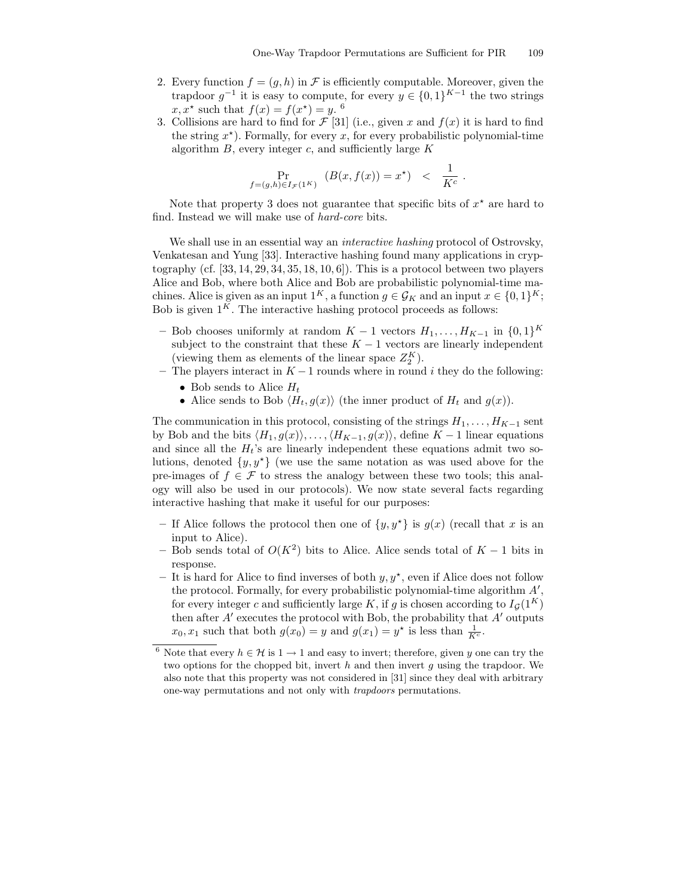- 2. Every function  $f = (q, h)$  in F is efficiently computable. Moreover, given the trapdoor  $g^{-1}$  it is easy to compute, for every  $y \in \{0,1\}^{K-1}$  the two strings  $x, x^*$  such that  $f(x) = f(x^*) = y$ . <sup>6</sup>
- 3. Collisions are hard to find for  $\mathcal{F}$  [31] (i.e., given x and  $f(x)$  it is hard to find the string  $x^*$ ). Formally, for every x, for every probabilistic polynomial-time algorithm  $B$ , every integer  $c$ , and sufficiently large  $K$

$$
\Pr_{f=(g,h)\in I_{\mathcal{F}}(1^K)} (B(x,f(x)) = x^*) < \frac{1}{K^c}.
$$

Note that property 3 does not guarantee that specific bits of  $x^*$  are hard to find. Instead we will make use of hard-core bits.

We shall use in an essential way an *interactive hashing* protocol of Ostrovsky, Venkatesan and Yung [33]. Interactive hashing found many applications in cryptography (cf.  $[33, 14, 29, 34, 35, 18, 10, 6]$ ). This is a protocol between two players Alice and Bob, where both Alice and Bob are probabilistic polynomial-time machines. Alice is given as an input  $1^K$ , a function  $g \in \mathcal{G}_K$  and an input  $x \in \{0,1\}^K$ ; Bob is given  $1<sup>K</sup>$ . The interactive hashing protocol proceeds as follows:

- Bob chooses uniformly at random  $K-1$  vectors  $H_1, \ldots, H_{K-1}$  in  $\{0,1\}^K$ subject to the constraint that these  $K - 1$  vectors are linearly independent (viewing them as elements of the linear space  $Z_2^K$ ).
- The players interact in  $K 1$  rounds where in round i they do the following: • Bob sends to Alice  $H_t$ 
	- Alice sends to Bob  $\langle H_t, g(x) \rangle$  (the inner product of  $H_t$  and  $g(x)$ ).

The communication in this protocol, consisting of the strings  $H_1, \ldots, H_{K-1}$  sent by Bob and the bits  $\langle H_1, g(x)\rangle, \ldots, \langle H_{K-1}, g(x)\rangle$ , define  $K-1$  linear equations and since all the  $H_t$ 's are linearly independent these equations admit two solutions, denoted  $\{y, y^*\}$  (we use the same notation as was used above for the pre-images of  $f \in \mathcal{F}$  to stress the analogy between these two tools; this analogy will also be used in our protocols). We now state several facts regarding interactive hashing that make it useful for our purposes:

- If Alice follows the protocol then one of  $\{y, y^*\}$  is  $g(x)$  (recall that x is an input to Alice).
- Bob sends total of  $O(K^2)$  bits to Alice. Alice sends total of  $K-1$  bits in response.
- It is hard for Alice to find inverses of both  $y, y^*$ , even if Alice does not follow the protocol. Formally, for every probabilistic polynomial-time algorithm  $A'$ , for every integer c and sufficiently large K, if g is chosen according to  $I_G(1^K)$ then after  $A'$  executes the protocol with Bob, the probability that  $A'$  outputs  $x_0, x_1$  such that both  $g(x_0) = y$  and  $g(x_1) = y^*$  is less than  $\frac{1}{K^c}$ .

<sup>&</sup>lt;sup>6</sup> Note that every  $h \in \mathcal{H}$  is  $1 \to 1$  and easy to invert; therefore, given y one can try the two options for the chopped bit, invert  $h$  and then invert  $g$  using the trapdoor. We also note that this property was not considered in [31] since they deal with arbitrary one-way permutations and not only with trapdoors permutations.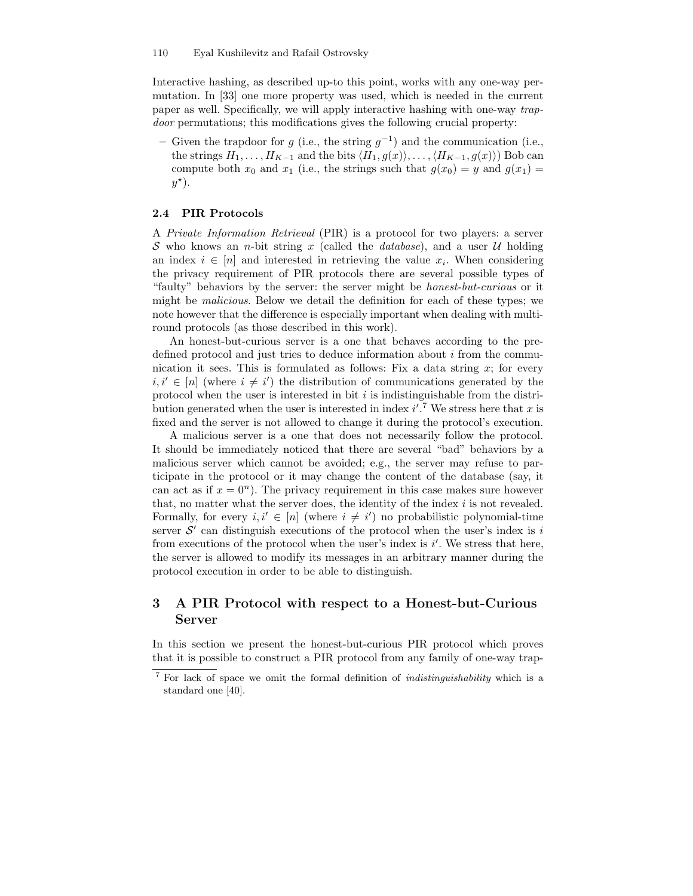Interactive hashing, as described up-to this point, works with any one-way permutation. In [33] one more property was used, which is needed in the current paper as well. Specifically, we will apply interactive hashing with one-way trapdoor permutations; this modifications gives the following crucial property:

– Given the trapdoor for g (i.e., the string  $g^{-1}$ ) and the communication (i.e., the strings  $H_1, \ldots, H_{K-1}$  and the bits  $\langle H_1, g(x) \rangle, \ldots, \langle H_{K-1}, g(x) \rangle$  Bob can compute both  $x_0$  and  $x_1$  (i.e., the strings such that  $g(x_0) = y$  and  $g(x_1) =$  $y^{\star}$ ).

### 2.4 PIR Protocols

A Private Information Retrieval (PIR) is a protocol for two players: a server S who knows an *n*-bit string x (called the *database*), and a user U holding an index  $i \in [n]$  and interested in retrieving the value  $x_i$ . When considering the privacy requirement of PIR protocols there are several possible types of "faulty" behaviors by the server: the server might be honest-but-curious or it might be malicious. Below we detail the definition for each of these types; we note however that the difference is especially important when dealing with multiround protocols (as those described in this work).

An honest-but-curious server is a one that behaves according to the predefined protocol and just tries to deduce information about  $i$  from the communication it sees. This is formulated as follows: Fix a data string  $x$ ; for every  $i, i' \in [n]$  (where  $i \neq i'$ ) the distribution of communications generated by the protocol when the user is interested in bit  $i$  is indistinguishable from the distribution generated when the user is interested in index  $i'.^7$  We stress here that x is fixed and the server is not allowed to change it during the protocol's execution.

A malicious server is a one that does not necessarily follow the protocol. It should be immediately noticed that there are several "bad" behaviors by a malicious server which cannot be avoided; e.g., the server may refuse to participate in the protocol or it may change the content of the database (say, it can act as if  $x = 0^n$ ). The privacy requirement in this case makes sure however that, no matter what the server does, the identity of the index  $i$  is not revealed. Formally, for every  $i, i' \in [n]$  (where  $i \neq i'$ ) no probabilistic polynomial-time server  $\mathcal{S}'$  can distinguish executions of the protocol when the user's index is i from executions of the protocol when the user's index is  $i'$ . We stress that here, the server is allowed to modify its messages in an arbitrary manner during the protocol execution in order to be able to distinguish.

# 3 A PIR Protocol with respect to a Honest-but-Curious Server

In this section we present the honest-but-curious PIR protocol which proves that it is possible to construct a PIR protocol from any family of one-way trap-

<sup>7</sup> For lack of space we omit the formal definition of indistinguishability which is a standard one [40].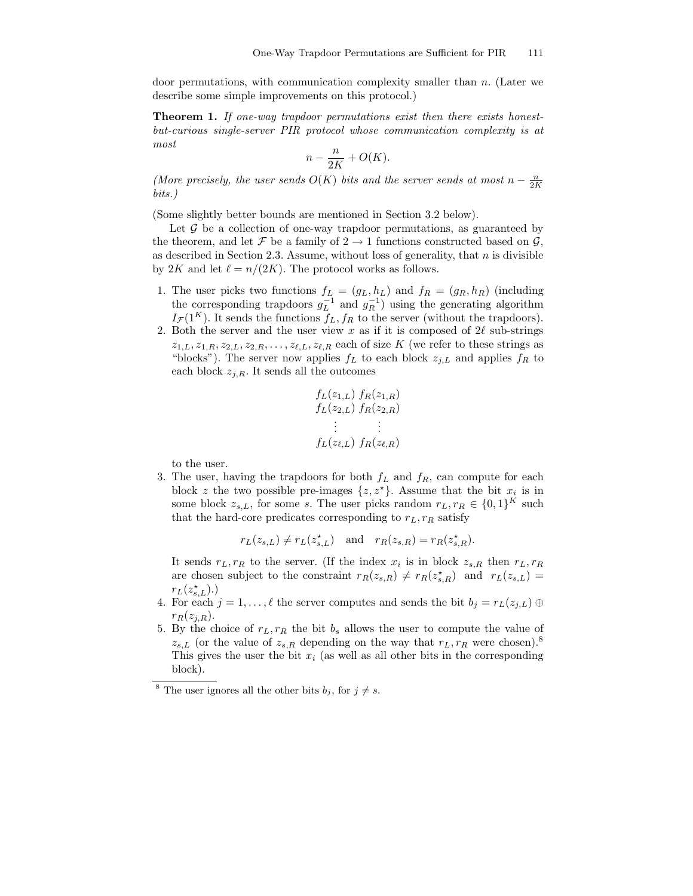door permutations, with communication complexity smaller than n. (Later we describe some simple improvements on this protocol.)

Theorem 1. If one-way trapdoor permutations exist then there exists honestbut-curious single-server PIR protocol whose communication complexity is at most

$$
n - \frac{n}{2K} + O(K).
$$

(More precisely, the user sends  $O(K)$  bits and the server sends at most  $n - \frac{n}{2K}$ bits.)

(Some slightly better bounds are mentioned in Section 3.2 below).

Let  $\mathcal G$  be a collection of one-way trapdoor permutations, as guaranteed by the theorem, and let F be a family of  $2 \rightarrow 1$  functions constructed based on G, as described in Section 2.3. Assume, without loss of generality, that  $n$  is divisible by 2K and let  $\ell = n/(2K)$ . The protocol works as follows.

- 1. The user picks two functions  $f_L = (g_L, h_L)$  and  $f_R = (g_R, h_R)$  (including the corresponding trapdoors  $g_L^{-1}$  and  $g_R^{-1}$ ) using the generating algorithm  $I_{\mathcal{F}}(1^K)$ . It sends the functions  $f_L, f_R$  to the server (without the trapdoors).
- 2. Both the server and the user view x as if it is composed of  $2\ell$  sub-strings  $z_{1,L}, z_{1,R}, z_{2,L}, z_{2,R}, \ldots, z_{\ell,L}, z_{\ell,R}$  each of size K (we refer to these strings as "blocks"). The server now applies  $f_L$  to each block  $z_{j,L}$  and applies  $f_R$  to each block  $z_{j,R}$ . It sends all the outcomes

$$
f_L(z_{1,L}) f_R(z_{1,R}) \n f_L(z_{2,L}) f_R(z_{2,R}) \n \vdots \n \vdots \n f_L(z_{\ell,L}) f_R(z_{\ell,R})
$$

to the user.

3. The user, having the trapdoors for both  $f<sub>L</sub>$  and  $f<sub>R</sub>$ , can compute for each block z the two possible pre-images  $\{z, z^{\star}\}\$ . Assume that the bit  $x_i$  is in some block  $z_{s,L}$ , for some s. The user picks random  $r_L, r_R \in \{0,1\}^K$  such that the hard-core predicates corresponding to  $r_L, r_R$  satisfy

$$
r_L(z_{s,L}) \neq r_L(z_{s,L}^*)
$$
 and  $r_R(z_{s,R}) = r_R(z_{s,R}^*)$ .

It sends  $r_L, r_R$  to the server. (If the index  $x_i$  is in block  $z_{s,R}$  then  $r_L, r_R$ are chosen subject to the constraint  $r_R(z_{s,R}) \neq r_R(z_{s,R}^*)$  and  $r_L(z_{s,L}) =$  $r_L(z_{s,L}^{\star}).$ 

- 4. For each  $j = 1, ..., \ell$  the server computes and sends the bit  $b_j = r_L(z_{j,L}) \oplus$  $r_R(z_{j,R}).$
- 5. By the choice of  $r_L, r_R$  the bit  $b_s$  allows the user to compute the value of  $z_{s,L}$  (or the value of  $z_{s,R}$  depending on the way that  $r_L, r_R$  were chosen).<sup>8</sup> This gives the user the bit  $x_i$  (as well as all other bits in the corresponding block).

<sup>&</sup>lt;sup>8</sup> The user ignores all the other bits  $b_j$ , for  $j \neq s$ .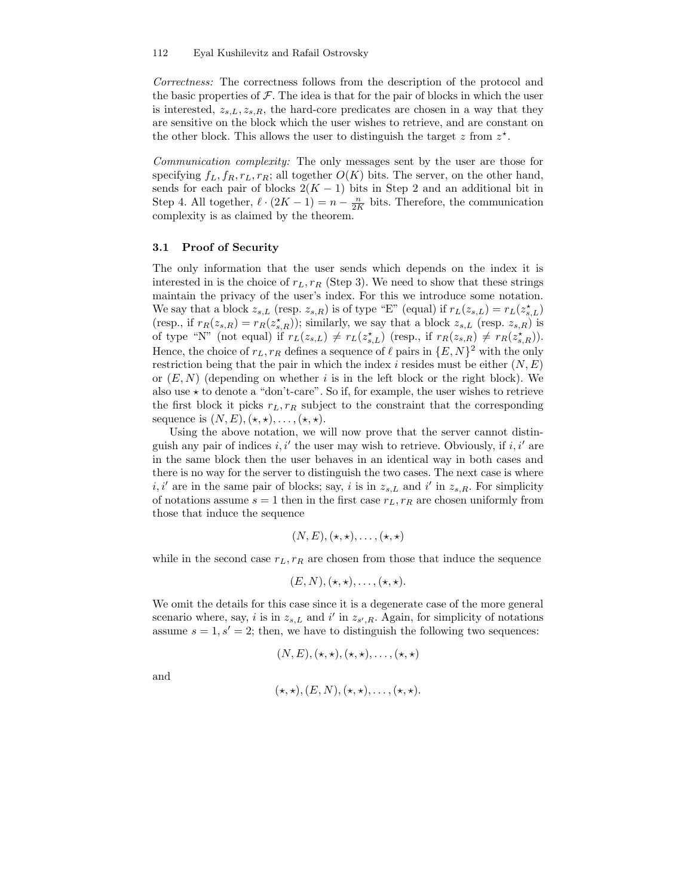Correctness: The correctness follows from the description of the protocol and the basic properties of  $\mathcal F$ . The idea is that for the pair of blocks in which the user is interested,  $z_{s,L}, z_{s,R}$ , the hard-core predicates are chosen in a way that they are sensitive on the block which the user wishes to retrieve, and are constant on the other block. This allows the user to distinguish the target  $z$  from  $z^*$ .

Communication complexity: The only messages sent by the user are those for specifying  $f_L, f_R, r_L, r_R$ ; all together  $O(K)$  bits. The server, on the other hand, sends for each pair of blocks  $2(K-1)$  bits in Step 2 and an additional bit in Step 4. All together,  $\ell \cdot (2K - 1) = n - \frac{n}{2K}$  bits. Therefore, the communication complexity is as claimed by the theorem.

### 3.1 Proof of Security

The only information that the user sends which depends on the index it is interested in is the choice of  $r<sub>L</sub>, r<sub>R</sub>$  (Step 3). We need to show that these strings maintain the privacy of the user's index. For this we introduce some notation. We say that a block  $z_{s,L}$  (resp.  $z_{s,R}$ ) is of type "E" (equal) if  $r_L(z_{s,L}) = r_L(z_{s,L}^{\star})$ (resp., if  $r_R(z_{s,R}) = r_R(z_{s,R}^*)$ ); similarly, we say that a block  $z_{s,L}$  (resp.  $z_{s,R}$ ) is of type "N" (not equal) if  $r_L(z_{s,L}) \neq r_L(z_{s,L}^{\star})$  (resp., if  $r_R(z_{s,R}) \neq r_R(z_{s,R}^{\star})$ ). Hence, the choice of  $r_L, r_R$  defines a sequence of  $\ell$  pairs in  $\{E, N\}^2$  with the only restriction being that the pair in which the index i resides must be either  $(N, E)$ or  $(E, N)$  (depending on whether i is in the left block or the right block). We also use  $\star$  to denote a "don't-care". So if, for example, the user wishes to retrieve the first block it picks  $r<sub>L</sub>, r<sub>R</sub>$  subject to the constraint that the corresponding sequence is  $(N, E), (\star, \star), \ldots, (\star, \star).$ 

Using the above notation, we will now prove that the server cannot distinguish any pair of indices  $i, i'$  the user may wish to retrieve. Obviously, if  $i, i'$  are in the same block then the user behaves in an identical way in both cases and there is no way for the server to distinguish the two cases. The next case is where  $i, i'$  are in the same pair of blocks; say, i is in  $z_{s,L}$  and i' in  $z_{s,R}$ . For simplicity of notations assume  $s = 1$  then in the first case  $r_L, r_R$  are chosen uniformly from those that induce the sequence

$$
(N, E), (\star, \star), \ldots, (\star, \star)
$$

while in the second case  $r_L, r_R$  are chosen from those that induce the sequence

$$
(E,N), (\star,\star), \ldots, (\star,\star).
$$

We omit the details for this case since it is a degenerate case of the more general scenario where, say, i is in  $z_{s,L}$  and i' in  $z_{s',R}$ . Again, for simplicity of notations assume  $s = 1, s' = 2$ ; then, we have to distinguish the following two sequences:

$$
(N, E), (\star, \star), (\star, \star), \ldots, (\star, \star)
$$

and

$$
(\star,\star), (E,N), (\star,\star), \ldots, (\star,\star).
$$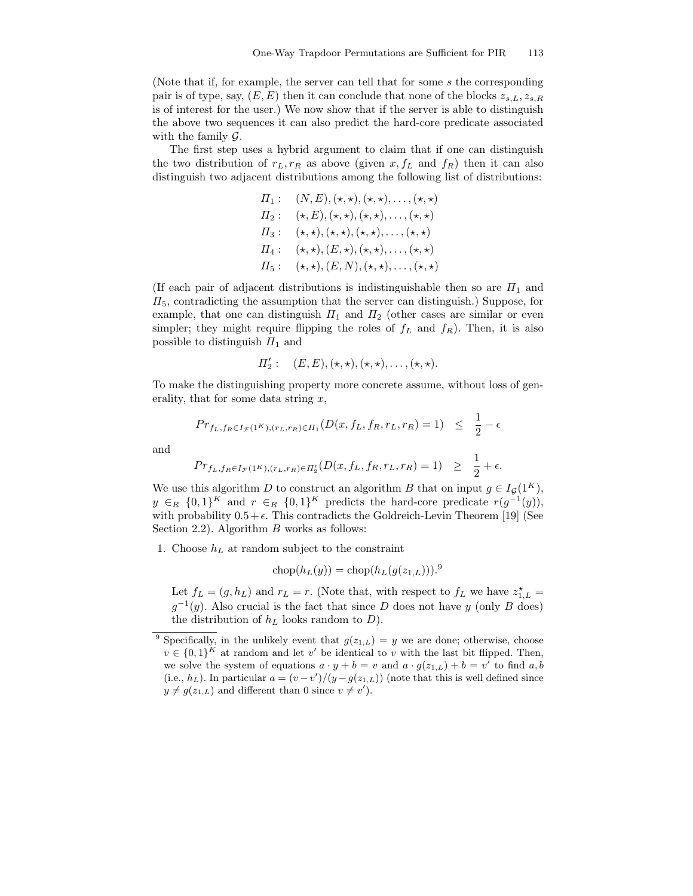(Note that if, for example, the server can tell that for some s the corresponding pair is of type, say,  $(E, E)$  then it can conclude that none of the blocks  $z_{s,L}, z_{s,R}$ is of interest for the user.) We now show that if the server is able to distinguish the above two sequences it can also predict the hard-core predicate associated with the family  $\mathcal{G}$ .

The first step uses a hybrid argument to claim that if one can distinguish the two distribution of  $r<sub>L</sub>, r<sub>R</sub>$  as above (given x,  $f<sub>L</sub>$  and  $f<sub>R</sub>$ ) then it can also distinguish two adjacent distributions among the following list of distributions:

$$
\Pi_1: (N, E), (\star, \star), (\star, \star), \ldots, (\star, \star)
$$
\n
$$
\Pi_2: (\star, E), (\star, \star), (\star, \star), \ldots, (\star, \star)
$$
\n
$$
\Pi_3: (\star, \star), (\star, \star), (\star, \star), \ldots, (\star, \star)
$$
\n
$$
\Pi_4: (\star, \star), (E, \star), (\star, \star), \ldots, (\star, \star)
$$
\n
$$
\Pi_5: (\star, \star), (E, N), (\star, \star), \ldots, (\star, \star)
$$

(If each pair of adjacent distributions is indistinguishable then so are  $\Pi_1$  and  $\Pi_5$ , contradicting the assumption that the server can distinguish.) Suppose, for example, that one can distinguish  $\Pi_1$  and  $\Pi_2$  (other cases are similar or even simpler; they might require flipping the roles of  $f<sub>L</sub>$  and  $f<sub>R</sub>$ ). Then, it is also possible to distinguish  $\Pi_1$  and

$$
\Pi_2':\quad (E,E), (\star,\star), (\star,\star), \ldots, (\star,\star).
$$

To make the distinguishing property more concrete assume, without loss of generality, that for some data string  $x$ ,

$$
Pr_{f_L, f_R \in I_{\mathcal{F}}(1^K), (r_L, r_R) \in \Pi_1}(D(x, f_L, f_R, r_L, r_R) = 1) \leq \frac{1}{2} - \epsilon
$$

and

$$
Pr_{f_L, f_R \in I_{\mathcal{F}}(1^K), (r_L, r_R) \in \Pi'_2}(D(x, f_L, f_R, r_L, r_R) = 1) \geq \frac{1}{2} + \epsilon.
$$

We use this algorithm D to construct an algorithm B that on input  $g \in I_G(1^K)$ ,  $y \in_R \{0,1\}^K$  and  $r \in_R \{0,1\}^K$  predicts the hard-core predicate  $r(g^{-1}(y))$ , with probability  $0.5+\epsilon$ . This contradicts the Goldreich-Levin Theorem [19] (See Section 2.2). Algorithm  $B$  works as follows:

1. Choose  $h<sub>L</sub>$  at random subject to the constraint

$$
chop(hL(y)) = chop(hL(g(z1,L))).9
$$

Let  $f_L = (g, h_L)$  and  $r_L = r$ . (Note that, with respect to  $f_L$  we have  $z_{1,L}^* =$  $g^{-1}(y)$ . Also crucial is the fact that since D does not have y (only B does) the distribution of  $h_L$  looks random to  $D$ ).

<sup>&</sup>lt;sup>9</sup> Specifically, in the unlikely event that  $g(z_{1,L}) = y$  we are done; otherwise, choose  $v \in \{0,1\}^K$  at random and let v' be identical to v with the last bit flipped. Then, we solve the system of equations  $a \cdot y + b = v$  and  $a \cdot g(z_{1,L}) + b = v'$  to find  $a, b$ (i.e.,  $h_L$ ). In particular  $a = (v - v')/(y - g(z_{1,L}))$  (note that this is well defined since  $y \neq g(z_{1,L})$  and different than 0 since  $v \neq v'$ .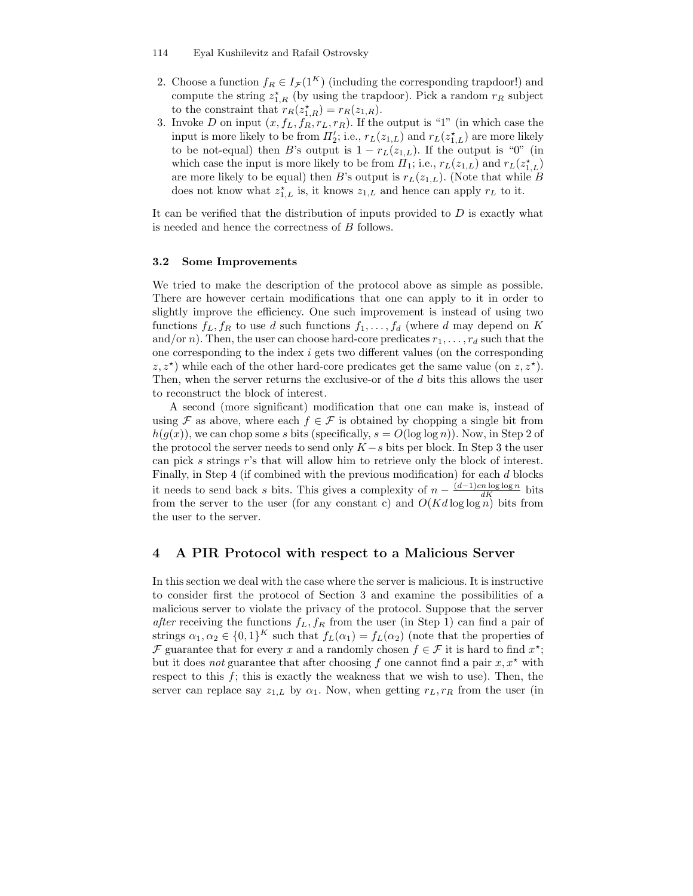- 114 Eyal Kushilevitz and Rafail Ostrovsky
- 2. Choose a function  $f_R \in I_{\mathcal{F}}(1^K)$  (including the corresponding trapdoor!) and compute the string  $z_{1,R}^*$  (by using the trapdoor). Pick a random  $r_R$  subject to the constraint that  $r_R(z_{1,R}^{\star}) = r_R(z_{1,R}).$
- 3. Invoke D on input  $(x, f_L, f_R, r_L, r_R)$ . If the output is "1" (in which case the input is more likely to be from  $\Pi'_2$ ; i.e.,  $r_L(z_{1,L})$  and  $r_L(z_{1,L}^{\star})$  are more likely to be not-equal) then B's output is  $1 - r_L(z_{1,L})$ . If the output is "0" (in which case the input is more likely to be from  $\Pi_1$ ; i.e.,  $r_L(z_{1,L})$  and  $r_L(z_{1,L}^{\star})$ are more likely to be equal) then B's output is  $r_L(z_{1,L})$ . (Note that while B does not know what  $z_{1,L}^*$  is, it knows  $z_{1,L}$  and hence can apply  $r_L$  to it.

It can be verified that the distribution of inputs provided to  $D$  is exactly what is needed and hence the correctness of B follows.

### 3.2 Some Improvements

We tried to make the description of the protocol above as simple as possible. There are however certain modifications that one can apply to it in order to slightly improve the efficiency. One such improvement is instead of using two functions  $f_L, f_R$  to use d such functions  $f_1, \ldots, f_d$  (where d may depend on K and/or n). Then, the user can choose hard-core predicates  $r_1, \ldots, r_d$  such that the one corresponding to the index i gets two different values (on the corresponding  $(z, z^*)$  while each of the other hard-core predicates get the same value (on  $z, z^*$ ). Then, when the server returns the exclusive-or of the d bits this allows the user to reconstruct the block of interest.

A second (more significant) modification that one can make is, instead of using F as above, where each  $f \in \mathcal{F}$  is obtained by chopping a single bit from  $h(g(x))$ , we can chop some s bits (specifically,  $s = O(\log \log n)$ ). Now, in Step 2 of the protocol the server needs to send only  $K - s$  bits per block. In Step 3 the user can pick s strings r's that will allow him to retrieve only the block of interest. Finally, in Step 4 (if combined with the previous modification) for each d blocks it needs to send back s bits. This gives a complexity of  $n - \frac{(d-1)cn \log \log n}{dK}$  bits from the server to the user (for any constant c) and  $O(Kd \log \log n)$  bits from the user to the server.

# 4 A PIR Protocol with respect to a Malicious Server

In this section we deal with the case where the server is malicious. It is instructive to consider first the protocol of Section 3 and examine the possibilities of a malicious server to violate the privacy of the protocol. Suppose that the server after receiving the functions  $f_L, f_R$  from the user (in Step 1) can find a pair of strings  $\alpha_1, \alpha_2 \in \{0,1\}^K$  such that  $f_L(\alpha_1) = f_L(\alpha_2)$  (note that the properties of F guarantee that for every x and a randomly chosen  $f \in \mathcal{F}$  it is hard to find  $x^*$ ; but it does *not* guarantee that after choosing f one cannot find a pair  $x, x^*$  with respect to this  $f$ ; this is exactly the weakness that we wish to use). Then, the server can replace say  $z_{1,L}$  by  $\alpha_1$ . Now, when getting  $r_L, r_R$  from the user (in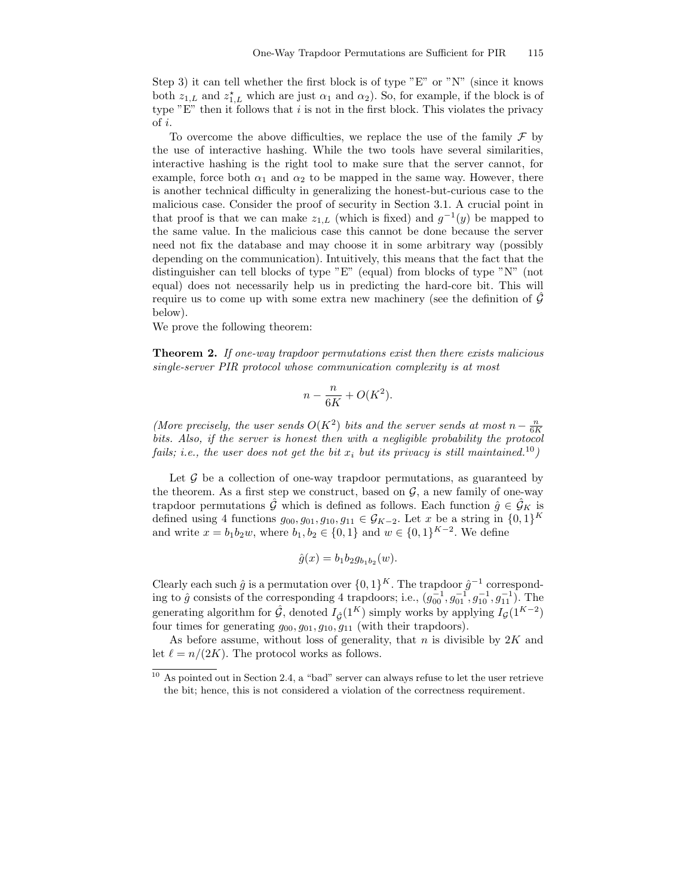Step 3) it can tell whether the first block is of type "E" or "N" (since it knows both  $z_{1,L}$  and  $z_{1,L}^*$  which are just  $\alpha_1$  and  $\alpha_2$ ). So, for example, if the block is of type "E" then it follows that  $i$  is not in the first block. This violates the privacy of i.

To overcome the above difficulties, we replace the use of the family  $\mathcal F$  by the use of interactive hashing. While the two tools have several similarities, interactive hashing is the right tool to make sure that the server cannot, for example, force both  $\alpha_1$  and  $\alpha_2$  to be mapped in the same way. However, there is another technical difficulty in generalizing the honest-but-curious case to the malicious case. Consider the proof of security in Section 3.1. A crucial point in that proof is that we can make  $z_{1,L}$  (which is fixed) and  $g^{-1}(y)$  be mapped to the same value. In the malicious case this cannot be done because the server need not fix the database and may choose it in some arbitrary way (possibly depending on the communication). Intuitively, this means that the fact that the distinguisher can tell blocks of type "E" (equal) from blocks of type "N" (not equal) does not necessarily help us in predicting the hard-core bit. This will require us to come up with some extra new machinery (see the definition of  $\tilde{G}$ below).

We prove the following theorem:

Theorem 2. If one-way trapdoor permutations exist then there exists malicious single-server PIR protocol whose communication complexity is at most

$$
n - \frac{n}{6K} + O(K^2).
$$

(More precisely, the user sends  $O(K^2)$  bits and the server sends at most  $n - \frac{n}{6K}$ bits. Also, if the server is honest then with a negligible probability the protocol fails; i.e., the user does not get the bit  $x_i$  but its privacy is still maintained.<sup>10</sup>)

Let  $\mathcal G$  be a collection of one-way trapdoor permutations, as guaranteed by the theorem. As a first step we construct, based on  $\mathcal{G}$ , a new family of one-way trapdoor permutations  $\hat{\mathcal{G}}$  which is defined as follows. Each function  $\hat{g} \in \hat{\mathcal{G}}_K$  is defined using 4 functions  $g_{00}, g_{01}, g_{10}, g_{11} \in \mathcal{G}_{K-2}$ . Let x be a string in  $\{0,1\}^K$ and write  $x = b_1 b_2 w$ , where  $b_1, b_2 \in \{0, 1\}$  and  $w \in \{0, 1\}^{K-2}$ . We define

$$
\hat{g}(x) = b_1 b_2 g_{b_1 b_2}(w).
$$

Clearly each such  $\hat{g}$  is a permutation over  $\{0,1\}^K$ . The trapdoor  $\hat{g}^{-1}$  corresponding to  $\hat{g}$  consists of the corresponding 4 trapdoors; i.e.,  $(g_{00}^{-1}, g_{01}^{-1}, g_{10}^{-1}, g_{11}^{-1})$ . The generating algorithm for  $\hat{G}$ , denoted  $I_{\hat{G}}(1^K)$  simply works by applying  $I_{\mathcal{G}}(1^{K-2})$ four times for generating  $g_{00}, g_{01}, g_{10}, g_{11}$  (with their trapdoors).

As before assume, without loss of generality, that  $n$  is divisible by  $2K$  and let  $\ell = n/(2K)$ . The protocol works as follows.

 $10$  As pointed out in Section 2.4, a "bad" server can always refuse to let the user retrieve the bit; hence, this is not considered a violation of the correctness requirement.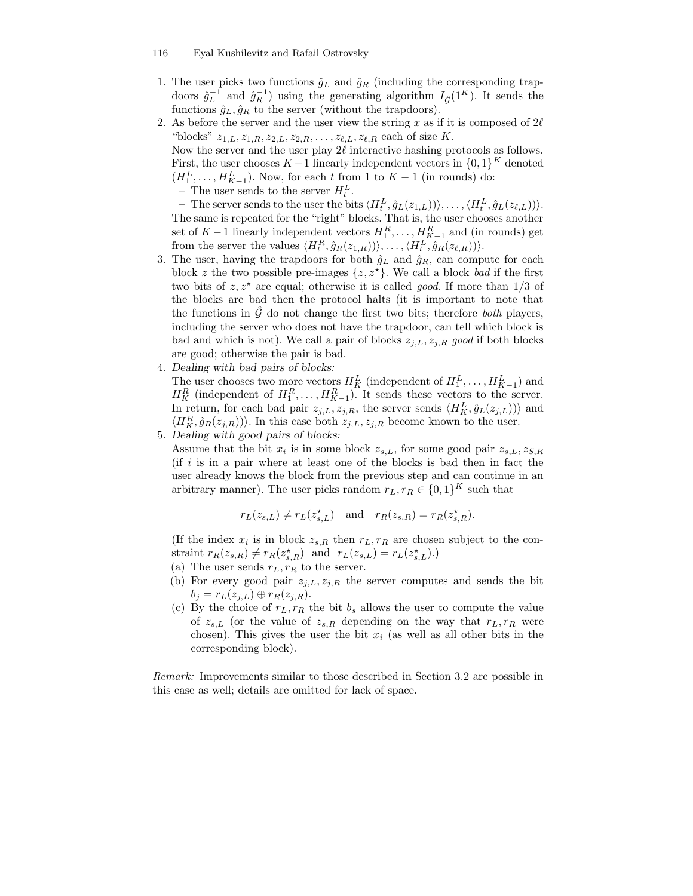- 1. The user picks two functions  $\hat{g}_L$  and  $\hat{g}_R$  (including the corresponding trapdoors  $\hat{g}_L^{-1}$  and  $\hat{g}_R^{-1}$ ) using the generating algorithm  $I_{\hat{\mathcal{G}}}(1^K)$ . It sends the functions  $\hat{g}_L, \hat{g}_R$  to the server (without the trapdoors).
- 2. As before the server and the user view the string x as if it is composed of  $2\ell$ "blocks"  $z_{1,L}, z_{1,R}, z_{2,L}, z_{2,R}, \ldots, z_{\ell,L}, z_{\ell,R}$  each of size K.

Now the server and the user play  $2\ell$  interactive hashing protocols as follows. First, the user chooses  $K-1$  linearly independent vectors in  $\{0,1\}^K$  denoted  $(H_1^L, \ldots, H_{K-1}^L)$ . Now, for each t from 1 to  $K-1$  (in rounds) do:

– The user sends to the server  $H_t^L$ .

- The server sends to the user the bits  $\langle H_t^L, \hat{g}_L(z_{1,L}) \rangle \rangle, \ldots, \langle H_t^L, \hat{g}_L(z_{\ell,L}) \rangle \rangle.$ The same is repeated for the "right" blocks. That is, the user chooses another set of  $K-1$  linearly independent vectors  $H_1^R, \ldots, H_{K-1}^R$  and (in rounds) get from the server the values  $\langle H_t^R, \hat{g}_R(z_{1,R}) \rangle \rangle, \ldots, \langle H_t^L, \hat{g}_R(z_{\ell,R}) \rangle \rangle.$ 

- 3. The user, having the trapdoors for both  $\hat{g}_L$  and  $\hat{g}_R$ , can compute for each block z the two possible pre-images  $\{z, z^{\star}\}\$ . We call a block bad if the first two bits of  $z, z^*$  are equal; otherwise it is called *good*. If more than  $1/3$  of the blocks are bad then the protocol halts (it is important to note that the functions in  $\mathcal G$  do not change the first two bits; therefore both players, including the server who does not have the trapdoor, can tell which block is bad and which is not). We call a pair of blocks  $z_{i,L}, z_{i,R}$  good if both blocks are good; otherwise the pair is bad.
- 4. Dealing with bad pairs of blocks:

The user chooses two more vectors  $H_K^L$  (independent of  $H_1^L, \ldots, H_{K-1}^L$ ) and  $H_K^R$  (independent of  $H_1^R, \ldots, H_{K-1}^R$ ). It sends these vectors to the server. In return, for each bad pair  $z_{j,L}, z_{j,R}$ , the server sends  $\langle H_K^L, \hat{g}_L(z_{j,L}) \rangle$  and  $\langle H_K^R, \hat{g}_R(z_{j,R}) \rangle$ . In this case both  $z_{j,L}, z_{j,R}$  become known to the user.

5. Dealing with good pairs of blocks:

Assume that the bit  $x_i$  is in some block  $z_{s,L}$ , for some good pair  $z_{s,L}$ ,  $z_{S,R}$ (if i is in a pair where at least one of the blocks is bad then in fact the user already knows the block from the previous step and can continue in an arbitrary manner). The user picks random  $r_L, r_R \in \{0, 1\}^K$  such that

$$
r_L(z_{s,L}) \neq r_L(z_{s,L}^*)
$$
 and  $r_R(z_{s,R}) = r_R(z_{s,R}^*)$ .

(If the index  $x_i$  is in block  $z_{s,R}$  then  $r_L, r_R$  are chosen subject to the constraint  $r_R(z_{s,R}) \neq r_R(z_{s,R}^{\star})$  and  $r_L(z_{s,L}) = r_L(z_{s,L}^{\star}).$ 

- (a) The user sends  $r_L, r_R$  to the server.
- (b) For every good pair  $z_{j,L}, z_{j,R}$  the server computes and sends the bit  $b_j = r_L(z_{j,L}) \oplus r_R(z_{j,R}).$
- (c) By the choice of  $r_L, r_R$  the bit  $b_s$  allows the user to compute the value of  $z_{s,L}$  (or the value of  $z_{s,R}$  depending on the way that  $r_L, r_R$  were chosen). This gives the user the bit  $x_i$  (as well as all other bits in the corresponding block).

Remark: Improvements similar to those described in Section 3.2 are possible in this case as well; details are omitted for lack of space.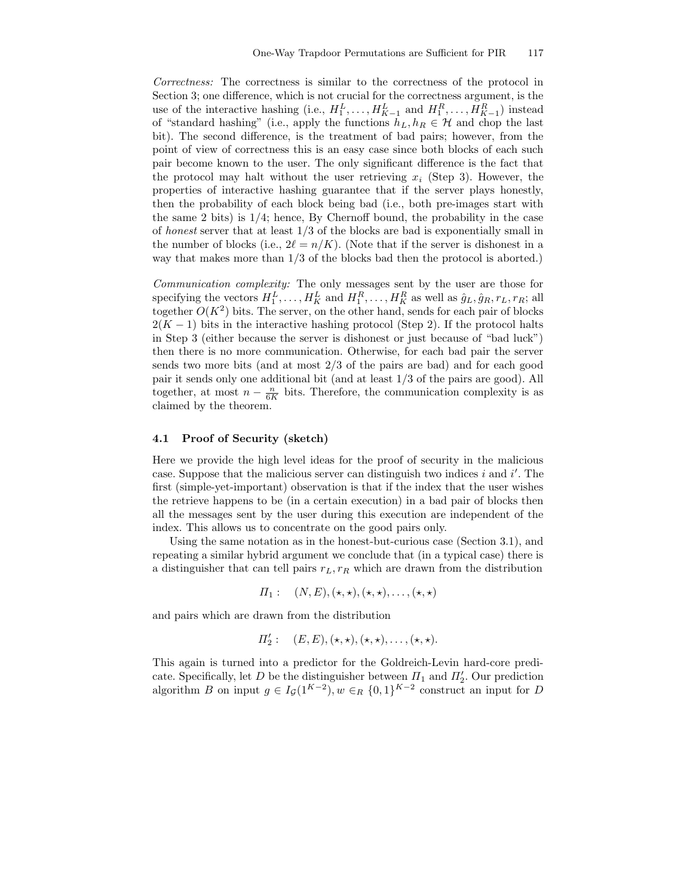Correctness: The correctness is similar to the correctness of the protocol in Section 3; one difference, which is not crucial for the correctness argument, is the use of the interactive hashing (i.e.,  $H_1^L, \ldots, H_{K-1}^L$  and  $H_1^R, \ldots, H_{K-1}^R$ ) instead of "standard hashing" (i.e., apply the functions  $h_L, h_R \in \mathcal{H}$  and chop the last bit). The second difference, is the treatment of bad pairs; however, from the point of view of correctness this is an easy case since both blocks of each such pair become known to the user. The only significant difference is the fact that the protocol may halt without the user retrieving  $x_i$  (Step 3). However, the properties of interactive hashing guarantee that if the server plays honestly, then the probability of each block being bad (i.e., both pre-images start with the same 2 bits) is  $1/4$ ; hence, By Chernoff bound, the probability in the case of honest server that at least 1/3 of the blocks are bad is exponentially small in the number of blocks (i.e.,  $2\ell = n/K$ ). (Note that if the server is dishonest in a way that makes more than 1/3 of the blocks bad then the protocol is aborted.)

Communication complexity: The only messages sent by the user are those for specifying the vectors  $H_1^L, \ldots, H_K^L$  and  $H_1^R, \ldots, H_K^R$  as well as  $\hat{g}_L, \hat{g}_R, r_L, r_R$ ; all together  $O(K^2)$  bits. The server, on the other hand, sends for each pair of blocks  $2(K-1)$  bits in the interactive hashing protocol (Step 2). If the protocol halts in Step 3 (either because the server is dishonest or just because of "bad luck") then there is no more communication. Otherwise, for each bad pair the server sends two more bits (and at most 2/3 of the pairs are bad) and for each good pair it sends only one additional bit (and at least 1/3 of the pairs are good). All together, at most  $n - \frac{n}{6K}$  bits. Therefore, the communication complexity is as claimed by the theorem.

### 4.1 Proof of Security (sketch)

Here we provide the high level ideas for the proof of security in the malicious case. Suppose that the malicious server can distinguish two indices  $i$  and  $i'$ . The first (simple-yet-important) observation is that if the index that the user wishes the retrieve happens to be (in a certain execution) in a bad pair of blocks then all the messages sent by the user during this execution are independent of the index. This allows us to concentrate on the good pairs only.

Using the same notation as in the honest-but-curious case (Section 3.1), and repeating a similar hybrid argument we conclude that (in a typical case) there is a distinguisher that can tell pairs  $r_L, r_R$  which are drawn from the distribution

$$
\Pi_1: (N, E), (\star, \star), (\star, \star), \ldots, (\star, \star)
$$

and pairs which are drawn from the distribution

$$
\Pi_2':\quad (E,E), (\star,\star), (\star,\star), \ldots, (\star,\star).
$$

This again is turned into a predictor for the Goldreich-Levin hard-core predicate. Specifically, let D be the distinguisher between  $\Pi_1$  and  $\Pi_2'$ . Our prediction algorithm B on input  $g \in I_{\mathcal{G}}(1^{K-2}), w \in_R \{0,1\}^{K-2}$  construct an input for D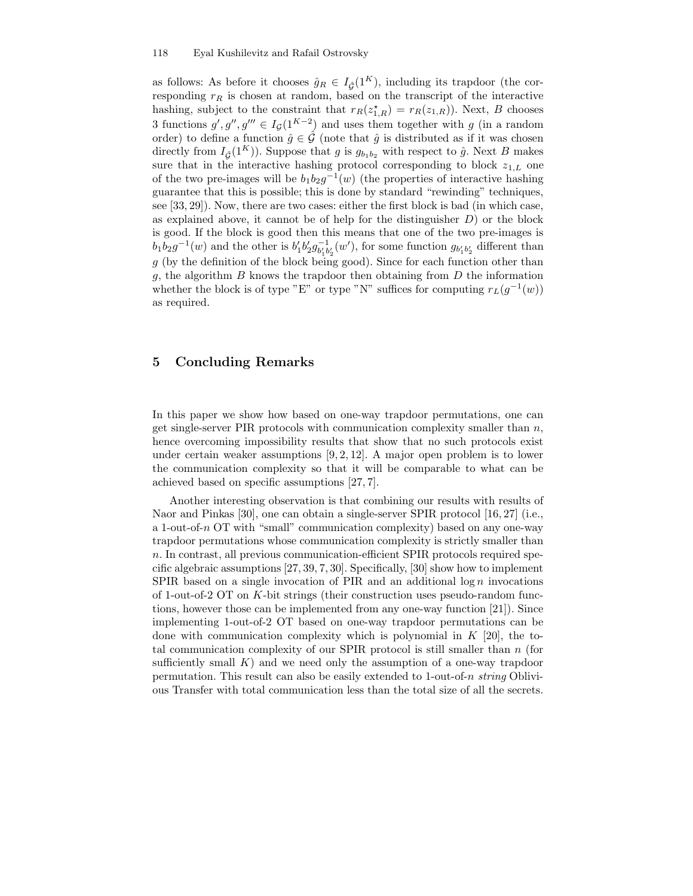as follows: As before it chooses  $\hat{g}_R \in I_{\hat{G}}(1^K)$ , including its trapdoor (the corresponding  $r_R$  is chosen at random, based on the transcript of the interactive hashing, subject to the constraint that  $r_R(z_{1,R}^*) = r_R(z_{1,R})$ . Next, B chooses 3 functions  $g', g''', g''' \in I_G(1^{K-2})$  and uses them together with g (in a random order) to define a function  $\hat{g} \in \hat{\mathcal{G}}$  (note that  $\hat{g}$  is distributed as if it was chosen directly from  $I_{\hat{G}}(1^K)$ ). Suppose that g is  $g_{b_1b_2}$  with respect to  $\hat{g}$ . Next B makes sure that in the interactive hashing protocol corresponding to block  $z_{1,L}$  one of the two pre-images will be  $b_1b_2g^{-1}(w)$  (the properties of interactive hashing guarantee that this is possible; this is done by standard "rewinding" techniques, see [33, 29]). Now, there are two cases: either the first block is bad (in which case, as explained above, it cannot be of help for the distinguisher  $D$ ) or the block is good. If the block is good then this means that one of the two pre-images is  $b_1b_2g^{-1}(w)$  and the other is  $b'_1b'_2g_{b'_1b'_2}^{-1}(w')$ , for some function  $g_{b'_1b'_2}$  different than  $g$  (by the definition of the block being good). Since for each function other than g, the algorithm  $B$  knows the trapdoor then obtaining from  $D$  the information whether the block is of type "E" or type "N" suffices for computing  $r_L(g^{-1}(w))$ as required.

# 5 Concluding Remarks

In this paper we show how based on one-way trapdoor permutations, one can get single-server PIR protocols with communication complexity smaller than  $n$ , hence overcoming impossibility results that show that no such protocols exist under certain weaker assumptions  $[9, 2, 12]$ . A major open problem is to lower the communication complexity so that it will be comparable to what can be achieved based on specific assumptions [27, 7].

Another interesting observation is that combining our results with results of Naor and Pinkas [30], one can obtain a single-server SPIR protocol [16, 27] (i.e., a 1-out-of-n OT with "small" communication complexity) based on any one-way trapdoor permutations whose communication complexity is strictly smaller than n. In contrast, all previous communication-efficient SPIR protocols required specific algebraic assumptions [27, 39, 7, 30]. Specifically, [30] show how to implement SPIR based on a single invocation of PIR and an additional log n invocations of 1-out-of-2 OT on K-bit strings (their construction uses pseudo-random functions, however those can be implemented from any one-way function [21]). Since implementing 1-out-of-2 OT based on one-way trapdoor permutations can be done with communication complexity which is polynomial in  $K$  [20], the total communication complexity of our SPIR protocol is still smaller than  $n$  (for sufficiently small  $K$ ) and we need only the assumption of a one-way trapdoor permutation. This result can also be easily extended to 1-out-of-n string Oblivious Transfer with total communication less than the total size of all the secrets.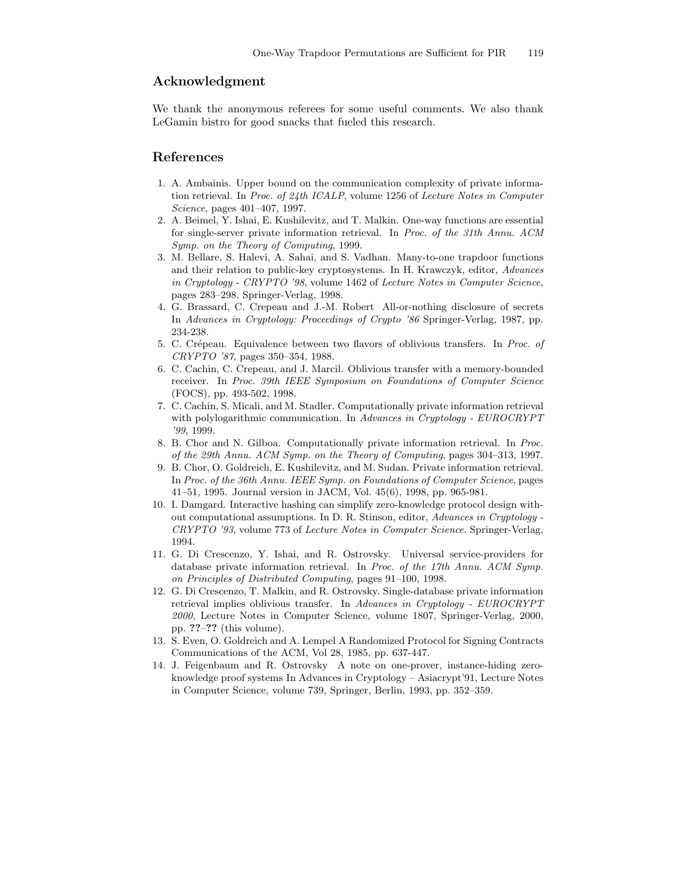# Acknowledgment

We thank the anonymous referees for some useful comments. We also thank LeGamin bistro for good snacks that fueled this research.

### References

- 1. A. Ambainis. Upper bound on the communication complexity of private information retrieval. In Proc. of 24th ICALP, volume 1256 of Lecture Notes in Computer Science, pages 401–407, 1997.
- 2. A. Beimel, Y. Ishai, E. Kushilevitz, and T. Malkin. One-way functions are essential for single-server private information retrieval. In Proc. of the 31th Annu. ACM Symp. on the Theory of Computing, 1999.
- 3. M. Bellare, S. Halevi, A. Sahai, and S. Vadhan. Many-to-one trapdoor functions and their relation to public-key cryptosystems. In H. Krawczyk, editor, Advances in Cryptology - CRYPTO '98, volume 1462 of Lecture Notes in Computer Science, pages 283–298. Springer-Verlag, 1998.
- 4. G. Brassard, C. Crepeau and J.-M. Robert All-or-nothing disclosure of secrets In Advances in Cryptology: Proceedings of Crypto '86 Springer-Verlag, 1987, pp. 234-238.
- 5. C. Crépeau. Equivalence between two flavors of oblivious transfers. In Proc. of CRYPTO '87, pages 350–354, 1988.
- 6. C. Cachin, C. Crepeau, and J. Marcil. Oblivious transfer with a memory-bounded receiver. In Proc. 39th IEEE Symposium on Foundations of Computer Science (FOCS), pp. 493-502, 1998.
- 7. C. Cachin, S. Micali, and M. Stadler. Computationally private information retrieval with polylogarithmic communication. In Advances in Cryptology - EUROCRYPT '99, 1999.
- 8. B. Chor and N. Gilboa. Computationally private information retrieval. In Proc. of the 29th Annu. ACM Symp. on the Theory of Computing, pages 304–313, 1997.
- 9. B. Chor, O. Goldreich, E. Kushilevitz, and M. Sudan. Private information retrieval. In Proc. of the 36th Annu. IEEE Symp. on Foundations of Computer Science, pages 41–51, 1995. Journal version in JACM, Vol. 45(6), 1998, pp. 965-981.
- 10. I. Damgard. Interactive hashing can simplify zero-knowledge protocol design without computational assumptions. In D. R. Stinson, editor, Advances in Cryptology - CRYPTO '93, volume 773 of Lecture Notes in Computer Science. Springer-Verlag, 1994.
- 11. G. Di Crescenzo, Y. Ishai, and R. Ostrovsky. Universal service-providers for database private information retrieval. In Proc. of the 17th Annu. ACM Symp. on Principles of Distributed Computing, pages 91–100, 1998.
- 12. G. Di Crescenzo, T. Malkin, and R. Ostrovsky. Single-database private information retrieval implies oblivious transfer. In Advances in Cryptology - EUROCRYPT 2000, Lecture Notes in Computer Science, volume 1807, Springer-Verlag, 2000, pp. ??–?? (this volume).
- 13. S. Even, O. Goldreich and A. Lempel A Randomized Protocol for Signing Contracts Communications of the ACM, Vol 28, 1985, pp. 637-447.
- 14. J. Feigenbaum and R. Ostrovsky A note on one-prover, instance-hiding zeroknowledge proof systems In Advances in Cryptology – Asiacrypt'91, Lecture Notes in Computer Science, volume 739, Springer, Berlin, 1993, pp. 352–359.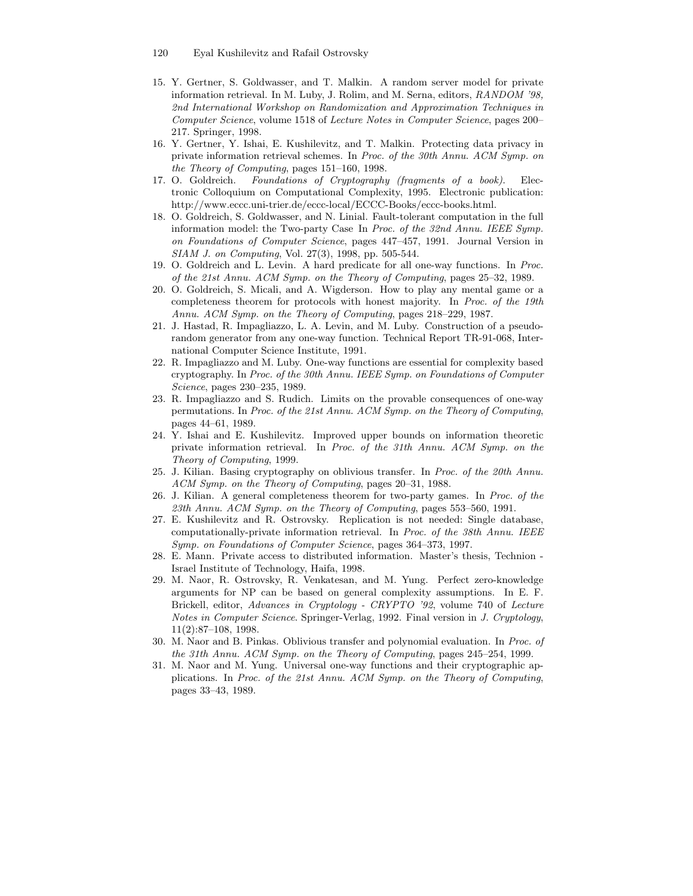- 120 Eyal Kushilevitz and Rafail Ostrovsky
- 15. Y. Gertner, S. Goldwasser, and T. Malkin. A random server model for private information retrieval. In M. Luby, J. Rolim, and M. Serna, editors, RANDOM '98, 2nd International Workshop on Randomization and Approximation Techniques in Computer Science, volume 1518 of Lecture Notes in Computer Science, pages 200– 217. Springer, 1998.
- 16. Y. Gertner, Y. Ishai, E. Kushilevitz, and T. Malkin. Protecting data privacy in private information retrieval schemes. In Proc. of the 30th Annu. ACM Symp. on the Theory of Computing, pages 151–160, 1998.
- 17. O. Goldreich. Foundations of Cryptography (fragments of a book). Electronic Colloquium on Computational Complexity, 1995. Electronic publication: http://www.eccc.uni-trier.de/eccc-local/ECCC-Books/eccc-books.html.
- 18. O. Goldreich, S. Goldwasser, and N. Linial. Fault-tolerant computation in the full information model: the Two-party Case In Proc. of the 32nd Annu. IEEE Symp. on Foundations of Computer Science, pages 447–457, 1991. Journal Version in SIAM J. on Computing, Vol. 27(3), 1998, pp. 505-544.
- 19. O. Goldreich and L. Levin. A hard predicate for all one-way functions. In Proc. of the 21st Annu. ACM Symp. on the Theory of Computing, pages 25–32, 1989.
- 20. O. Goldreich, S. Micali, and A. Wigderson. How to play any mental game or a completeness theorem for protocols with honest majority. In Proc. of the 19th Annu. ACM Symp. on the Theory of Computing, pages 218–229, 1987.
- 21. J. Hastad, R. Impagliazzo, L. A. Levin, and M. Luby. Construction of a pseudorandom generator from any one-way function. Technical Report TR-91-068, International Computer Science Institute, 1991.
- 22. R. Impagliazzo and M. Luby. One-way functions are essential for complexity based cryptography. In Proc. of the 30th Annu. IEEE Symp. on Foundations of Computer Science, pages 230–235, 1989.
- 23. R. Impagliazzo and S. Rudich. Limits on the provable consequences of one-way permutations. In Proc. of the 21st Annu. ACM Symp. on the Theory of Computing, pages 44–61, 1989.
- 24. Y. Ishai and E. Kushilevitz. Improved upper bounds on information theoretic private information retrieval. In Proc. of the 31th Annu. ACM Symp. on the Theory of Computing, 1999.
- 25. J. Kilian. Basing cryptography on oblivious transfer. In Proc. of the 20th Annu. ACM Symp. on the Theory of Computing, pages 20–31, 1988.
- 26. J. Kilian. A general completeness theorem for two-party games. In Proc. of the 23th Annu. ACM Symp. on the Theory of Computing, pages 553–560, 1991.
- 27. E. Kushilevitz and R. Ostrovsky. Replication is not needed: Single database, computationally-private information retrieval. In Proc. of the 38th Annu. IEEE Symp. on Foundations of Computer Science, pages 364–373, 1997.
- 28. E. Mann. Private access to distributed information. Master's thesis, Technion Israel Institute of Technology, Haifa, 1998.
- 29. M. Naor, R. Ostrovsky, R. Venkatesan, and M. Yung. Perfect zero-knowledge arguments for NP can be based on general complexity assumptions. In E. F. Brickell, editor, Advances in Cryptology - CRYPTO '92, volume 740 of Lecture Notes in Computer Science. Springer-Verlag, 1992. Final version in J. Cryptology, 11(2):87–108, 1998.
- 30. M. Naor and B. Pinkas. Oblivious transfer and polynomial evaluation. In Proc. of the 31th Annu. ACM Symp. on the Theory of Computing, pages 245–254, 1999.
- 31. M. Naor and M. Yung. Universal one-way functions and their cryptographic applications. In Proc. of the 21st Annu. ACM Symp. on the Theory of Computing, pages 33–43, 1989.